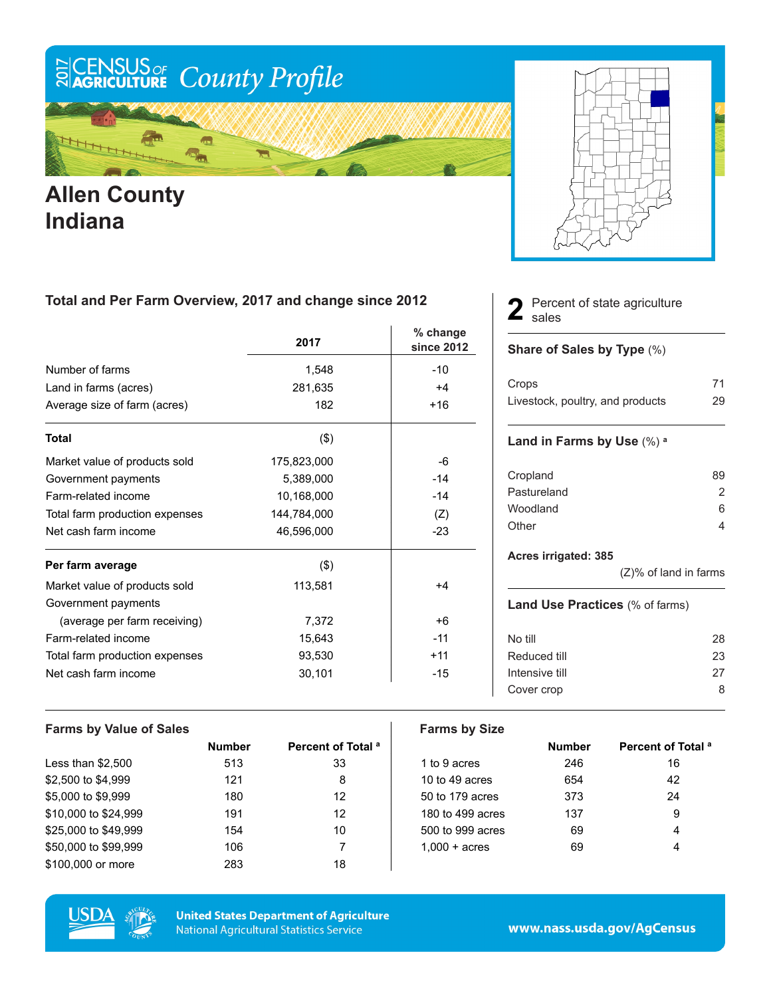

## **Allen County Indiana**

### **Total and Per Farm Overview, 2017 and change since 2012**

|                                | 2017        | % change<br>since 2012 |
|--------------------------------|-------------|------------------------|
| Number of farms                | 1,548       | $-10$                  |
| Land in farms (acres)          | 281,635     | $+4$                   |
| Average size of farm (acres)   | 182         | $+16$                  |
| <b>Total</b>                   | $($ \$)     |                        |
| Market value of products sold  | 175,823,000 | -6                     |
| Government payments            | 5,389,000   | $-14$                  |
| Farm-related income            | 10,168,000  | $-14$                  |
| Total farm production expenses | 144,784,000 | (Z)                    |
| Net cash farm income           | 46,596,000  | $-23$                  |
| Per farm average               | (3)         |                        |
| Market value of products sold  | 113,581     | $+4$                   |
| Government payments            |             |                        |
| (average per farm receiving)   | 7,372       | +6                     |
| Farm-related income            | 15,643      | $-11$                  |
| Total farm production expenses | 93,530      | $+11$                  |
| Net cash farm income           | 30,101      | $-15$                  |

#### Percent of state agriculture 2 Perce

#### **Share of Sales by Type** (%)

| Crops                            | 71 |
|----------------------------------|----|
| Livestock, poultry, and products | 29 |

#### **Land in Farms by Use** (%) **<sup>a</sup>**

| 89            |
|---------------|
| $\mathcal{P}$ |
| 6             |
|               |
|               |

#### **Acres irrigated: 385**

(Z)% of land in farms

#### **Land Use Practices** (% of farms)

| No till        | 28 |
|----------------|----|
| Reduced till   | 23 |
| Intensive till | 27 |
| Cover crop     | 8  |
|                |    |

| <b>Farms by Value of Sales</b> |               |                               | <b>Farms by Size</b>   |               |                               |
|--------------------------------|---------------|-------------------------------|------------------------|---------------|-------------------------------|
|                                | <b>Number</b> | Percent of Total <sup>a</sup> |                        | <b>Number</b> | Percent of Total <sup>a</sup> |
| Less than $$2,500$             | 513           | 33                            | 1 to 9 acres           | 246           | 16                            |
| \$2,500 to \$4,999             | 121           | 8                             | 10 to 49 acres         | 654           | 42                            |
| \$5,000 to \$9,999             | 180           | 12                            | 50 to 179 acres        | 373           | 24                            |
| \$10,000 to \$24,999           | 191           | 12                            | 180 to 499 acres       | 137           | 9                             |
| \$25,000 to \$49,999           | 154           | 10                            | 500 to 999 acres       | 69            | 4                             |
| \$50,000 to \$99,999           | 106           |                               | $1.000 + \text{acres}$ | 69            | 4                             |
| \$100,000 or more              | 283           | 18                            |                        |               |                               |



**United States Department of Agriculture National Agricultural Statistics Service**